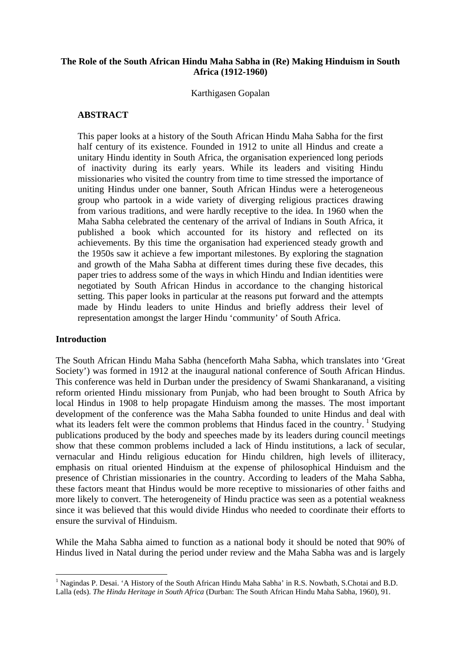### **The Role of the South African Hindu Maha Sabha in (Re) Making Hinduism in South Africa (1912-1960)**

Karthigasen Gopalan

# **ABSTRACT**

This paper looks at a history of the South African Hindu Maha Sabha for the first half century of its existence. Founded in 1912 to unite all Hindus and create a unitary Hindu identity in South Africa, the organisation experienced long periods of inactivity during its early years. While its leaders and visiting Hindu missionaries who visited the country from time to time stressed the importance of uniting Hindus under one banner, South African Hindus were a heterogeneous group who partook in a wide variety of diverging religious practices drawing from various traditions, and were hardly receptive to the idea. In 1960 when the Maha Sabha celebrated the centenary of the arrival of Indians in South Africa, it published a book which accounted for its history and reflected on its achievements. By this time the organisation had experienced steady growth and the 1950s saw it achieve a few important milestones. By exploring the stagnation and growth of the Maha Sabha at different times during these five decades, this paper tries to address some of the ways in which Hindu and Indian identities were negotiated by South African Hindus in accordance to the changing historical setting. This paper looks in particular at the reasons put forward and the attempts made by Hindu leaders to unite Hindus and briefly address their level of representation amongst the larger Hindu 'community' of South Africa.

### **Introduction**

The South African Hindu Maha Sabha (henceforth Maha Sabha, which translates into 'Great Society') was formed in 1912 at the inaugural national conference of South African Hindus. This conference was held in Durban under the presidency of Swami Shankaranand, a visiting reform oriented Hindu missionary from Punjab, who had been brought to South Africa by local Hindus in 1908 to help propagate Hinduism among the masses. The most important development of the conference was the Maha Sabha founded to unite Hindus and deal with what its leaders felt were the common problems that Hindus faced in the country.  $\frac{1}{1}$  $\frac{1}{1}$  $\frac{1}{1}$  Studying publications produced by the body and speeches made by its leaders during council meetings show that these common problems included a lack of Hindu institutions, a lack of secular, vernacular and Hindu religious education for Hindu children, high levels of illiteracy, emphasis on ritual oriented Hinduism at the expense of philosophical Hinduism and the presence of Christian missionaries in the country. According to leaders of the Maha Sabha, these factors meant that Hindus would be more receptive to missionaries of other faiths and more likely to convert. The heterogeneity of Hindu practice was seen as a potential weakness since it was believed that this would divide Hindus who needed to coordinate their efforts to ensure the survival of Hinduism.

While the Maha Sabha aimed to function as a national body it should be noted that 90% of Hindus lived in Natal during the period under review and the Maha Sabha was and is largely

<span id="page-0-0"></span>**<sup>.</sup>** <sup>1</sup> Nagindas P. Desai. 'A History of the South African Hindu Maha Sabha' in R.S. Nowbath, S.Chotai and B.D. Lalla (eds). *The Hindu Heritage in South Africa* (Durban: The South African Hindu Maha Sabha, 1960), 91.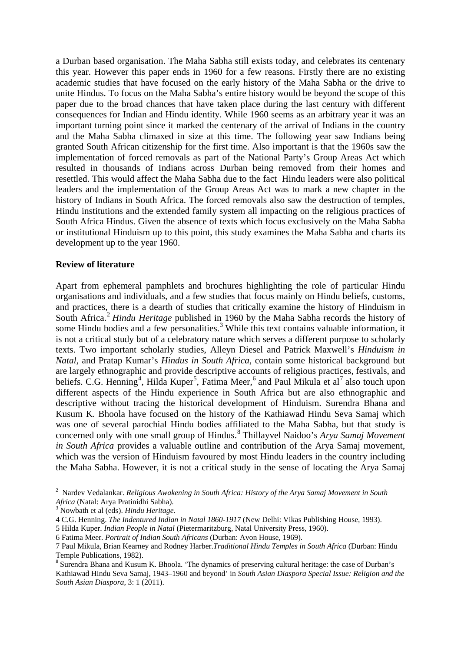a Durban based organisation. The Maha Sabha still exists today, and celebrates its centenary this year. However this paper ends in 1960 for a few reasons. Firstly there are no existing academic studies that have focused on the early history of the Maha Sabha or the drive to unite Hindus. To focus on the Maha Sabha's entire history would be beyond the scope of this paper due to the broad chances that have taken place during the last century with different consequences for Indian and Hindu identity. While 1960 seems as an arbitrary year it was an important turning point since it marked the centenary of the arrival of Indians in the country and the Maha Sabha climaxed in size at this time. The following year saw Indians being granted South African citizenship for the first time. Also important is that the 1960s saw the implementation of forced removals as part of the National Party's Group Areas Act which resulted in thousands of Indians across Durban being removed from their homes and resettled. This would affect the Maha Sabha due to the fact Hindu leaders were also political leaders and the implementation of the Group Areas Act was to mark a new chapter in the history of Indians in South Africa. The forced removals also saw the destruction of temples, Hindu institutions and the extended family system all impacting on the religious practices of South Africa Hindus. Given the absence of texts which focus exclusively on the Maha Sabha or institutional Hinduism up to this point, this study examines the Maha Sabha and charts its development up to the year 1960.

#### **Review of literature**

Apart from ephemeral pamphlets and brochures highlighting the role of particular Hindu organisations and individuals, and a few studies that focus mainly on Hindu beliefs, customs, and practices, there is a dearth of studies that critically examine the history of Hinduism in South Africa.<sup>[2](#page-1-0)</sup> *Hindu Heritage* published in 1960 by the Maha Sabha records the history of some Hindu bodies and a few personalities.<sup>[3](#page-1-1)</sup> While this text contains valuable information, it is not a critical study but of a celebratory nature which serves a different purpose to scholarly texts. Two important scholarly studies, Alleyn Diesel and Patrick Maxwell's *Hinduism in Natal*, and Pratap Kumar's *Hindus in South Africa*, contain some historical background but are largely ethnographic and provide descriptive accounts of religious practices, festivals, and beliefs. C.G. Henning<sup>[4](#page-1-2)</sup>, Hilda Kuper<sup>[5](#page-1-3)</sup>, Fatima Meer,<sup>[6](#page-1-4)</sup> and Paul Mikula et al<sup>[7](#page-1-5)</sup> also touch upon different aspects of the Hindu experience in South Africa but are also ethnographic and descriptive without tracing the historical development of Hinduism. Surendra Bhana and Kusum K. Bhoola have focused on the history of the Kathiawad Hindu Seva Samaj which was one of several parochial Hindu bodies affiliated to the Maha Sabha, but that study is concerned only with one small group of Hindus. [8](#page-1-6) Thillayvel Naidoo's *Arya Samaj Movement in South Africa* provides a valuable outline and contribution of the Arya Samaj movement, which was the version of Hinduism favoured by most Hindu leaders in the country including the Maha Sabha. However, it is not a critical study in the sense of locating the Arya Samaj

<span id="page-1-0"></span><sup>2</sup> Nardev Vedalankar. *Religious Awakening in South Africa: History of the Arya Samaj Movement in South Africa* (Natal: Arya Pratinidhi Sabha).

<span id="page-1-1"></span><sup>3</sup> Nowbath et al (eds). *Hindu Heritage.*

<span id="page-1-2"></span><sup>4</sup> C.G. Henning. *The Indentured Indian in Natal 1860-1917* (New Delhi: Vikas Publishing House, 1993).

<span id="page-1-3"></span><sup>5</sup> Hilda Kuper. *Indian People in Natal* (Pietermaritzburg, Natal University Press, 1960).

<span id="page-1-4"></span><sup>6</sup> Fatima Meer. *Portrait of Indian South Africans* (Durban: Avon House, 1969).

<span id="page-1-5"></span><sup>7</sup> Paul Mikula, Brian Kearney and Rodney Harber.*Traditional Hindu Temples in South Africa* (Durban: Hindu Temple Publications, 1982).<br><sup>8</sup> Surendra Bhana and Kusum K. Bhoola. 'The dynamics of preserving cultural heritage: the case of Durban's

<span id="page-1-6"></span>Kathiawad Hindu Seva Samaj, 1943–1960 and beyond' in *South Asian Diaspora Special Issue: Religion and the South Asian Diaspora,* 3: 1 (2011).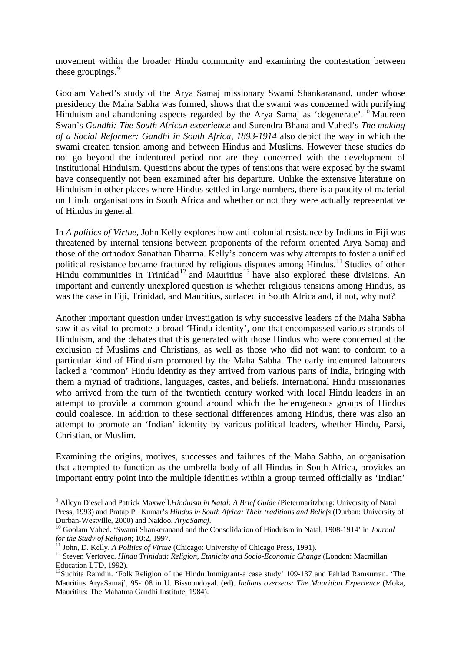movement within the broader Hindu community and examining the contestation between these groupings.<sup>[9](#page-2-0)</sup>

Goolam Vahed's study of the Arya Samaj missionary Swami Shankaranand, under whose presidency the Maha Sabha was formed, shows that the swami was concerned with purifying Hinduism and abandoning aspects regarded by the Arya Samaj as 'degenerate'.<sup>[10](#page-2-1)</sup> Maureen Swan's *Gandhi: The South African experience* and Surendra Bhana and Vahed's *The making of a Social Reformer: Gandhi in South Africa, 1893-1914* also depict the way in which the swami created tension among and between Hindus and Muslims. However these studies do not go beyond the indentured period nor are they concerned with the development of institutional Hinduism. Questions about the types of tensions that were exposed by the swami have consequently not been examined after his departure. Unlike the extensive literature on Hinduism in other places where Hindus settled in large numbers, there is a paucity of material on Hindu organisations in South Africa and whether or not they were actually representative of Hindus in general.

In *A politics of Virtue*, John Kelly explores how anti-colonial resistance by Indians in Fiji was threatened by internal tensions between proponents of the reform oriented Arya Samaj and those of the orthodox Sanathan Dharma. Kelly's concern was why attempts to foster a unified political resistance became fractured by religious disputes among Hindus.<sup>[11](#page-2-2)</sup> Studies of other Hindu communities in Trinidad<sup>[12](#page-2-3)</sup> and Mauritius<sup>[13](#page-2-4)</sup> have also explored these divisions. An important and currently unexplored question is whether religious tensions among Hindus, as was the case in Fiji, Trinidad, and Mauritius, surfaced in South Africa and, if not, why not?

Another important question under investigation is why successive leaders of the Maha Sabha saw it as vital to promote a broad 'Hindu identity', one that encompassed various strands of Hinduism, and the debates that this generated with those Hindus who were concerned at the exclusion of Muslims and Christians, as well as those who did not want to conform to a particular kind of Hinduism promoted by the Maha Sabha. The early indentured labourers lacked a 'common' Hindu identity as they arrived from various parts of India, bringing with them a myriad of traditions, languages, castes, and beliefs. International Hindu missionaries who arrived from the turn of the twentieth century worked with local Hindu leaders in an attempt to provide a common ground around which the heterogeneous groups of Hindus could coalesce. In addition to these sectional differences among Hindus, there was also an attempt to promote an 'Indian' identity by various political leaders, whether Hindu, Parsi, Christian, or Muslim.

Examining the origins, motives, successes and failures of the Maha Sabha, an organisation that attempted to function as the umbrella body of all Hindus in South Africa, provides an important entry point into the multiple identities within a group termed officially as 'Indian'

<span id="page-2-0"></span><sup>9</sup> Alleyn Diesel and Patrick Maxwell.*Hinduism in Natal: A Brief Guide* (Pietermaritzburg: University of Natal Press*,* 1993) and Pratap P. Kumar's *Hindus in South Africa: Their traditions and Beliefs* (Durban: University of

<span id="page-2-1"></span><sup>&</sup>lt;sup>10</sup> Goolam Vahed. 'Swami Shankeranand and the Consolidation of Hinduism in Natal, 1908-1914' in *Journal* for the Study of Religion; 10:2, 1997.<br><sup>11</sup> John, D. Kelly. *A Politics of Virtue* (Chicago: University of Chicago Press, 1991).<br><sup>12</sup> Steven Vertovec. *Hindu Trinidad: Religion, Ethnicity and Socio-Economic Change* (London

<span id="page-2-3"></span><span id="page-2-2"></span>Education LTD, 1992).

<span id="page-2-4"></span><sup>&</sup>lt;sup>13</sup>Suchita Ramdin. 'Folk Religion of the Hindu Immigrant-a case study' 109-137 and Pahlad Ramsurran. 'The Mauritius AryaSamaj', 95-108 in U. Bissoondoyal. (ed). *Indians overseas: The Mauritian Experience* (Moka, Mauritius: The Mahatma Gandhi Institute, 1984).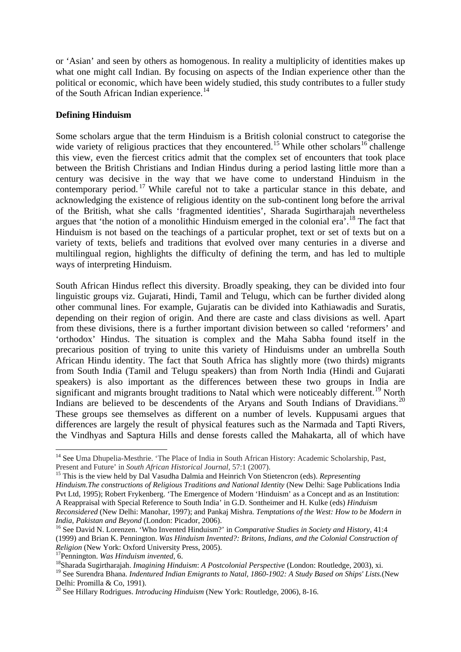or 'Asian' and seen by others as homogenous. In reality a multiplicity of identities makes up what one might call Indian. By focusing on aspects of the Indian experience other than the political or economic, which have been widely studied, this study contributes to a fuller study of the South African Indian experience.<sup>[14](#page-3-0)</sup>

## **Defining Hinduism**

Some scholars argue that the term Hinduism is a British colonial construct to categorise the wide variety of religious practices that they encountered.<sup>[15](#page-3-1)</sup> While other scholars<sup>[16](#page-3-2)</sup> challenge this view, even the fiercest critics admit that the complex set of encounters that took place between the British Christians and Indian Hindus during a period lasting little more than a century was decisive in the way that we have come to understand Hinduism in the contemporary period. [17](#page-3-3) While careful not to take a particular stance in this debate, and acknowledging the existence of religious identity on the sub-continent long before the arrival of the British, what she calls 'fragmented identities', Sharada Sugirtharajah nevertheless argues that 'the notion of a monolithic Hinduism emerged in the colonial era'.<sup>[18](#page-3-4)</sup> The fact that Hinduism is not based on the teachings of a particular prophet, text or set of texts but on a variety of texts, beliefs and traditions that evolved over many centuries in a diverse and multilingual region, highlights the difficulty of defining the term, and has led to multiple ways of interpreting Hinduism.

South African Hindus reflect this diversity. Broadly speaking, they can be divided into four linguistic groups viz. Gujarati, Hindi, Tamil and Telugu, which can be further divided along other communal lines. For example, Gujaratis can be divided into Kathiawadis and Suratis, depending on their region of origin. And there are caste and class divisions as well. Apart from these divisions, there is a further important division between so called 'reformers' and 'orthodox' Hindus. The situation is complex and the Maha Sabha found itself in the precarious position of trying to unite this variety of Hinduisms under an umbrella South African Hindu identity. The fact that South Africa has slightly more (two thirds) migrants from South India (Tamil and Telugu speakers) than from North India (Hindi and Gujarati speakers) is also important as the differences between these two groups in India are significant and migrants brought traditions to Natal which were noticeably different.<sup>[19](#page-3-5)</sup> North Indians are believed to be descendents of the Aryans and South Indians of Dravidians.<sup>[20](#page-3-6)</sup> These groups see themselves as different on a number of levels. Kuppusami argues that differences are largely the result of physical features such as the Narmada and Tapti Rivers, the Vindhyas and Saptura Hills and dense forests called the Mahakarta, all of which have

<span id="page-3-0"></span><sup>&</sup>lt;sup>14</sup> See Uma Dhupelia-Mesthrie. 'The Place of India in South African History: Academic Scholarship, Past, Present and Future' in *South African Historical Journal,* 57:1 (2007).

<span id="page-3-1"></span><sup>&</sup>lt;sup>15</sup> This is the view held by Dal Vasudha Dalmia and Heinrich Von Stietencron (eds). *Representing Hinduism.The constructions of Religious Traditions and National Identity* (New Delhi: Sage Publications India Pvt Ltd, 1995); Robert Frykenberg. 'The Emergence of Modern 'Hinduism' as a Concept and as an Institution: A Reappraisal with Special Reference to South India' in G.D. Sontheimer and H. Kulke (eds) *Hinduism Reconsidered* (New Delhi: Manohar, 1997); and Pankaj Mishra. *Temptations of the West: How to be Modern in* 

<span id="page-3-2"></span>*India, Pakistan and Beyond* (London: Picador, 2006).<br><sup>16</sup> See David N. Lorenzen. 'Who Invented Hinduism?' in *Comparative Studies in Society and History*, 41:4 (1999) and Brian K. Pennington. *Was Hinduism Invented?: Britons, Indians, and the Colonial Construction of Religion* (New York: Oxford University Press, 2005).<br><sup>17</sup>Pennington. *Was Hinduism invented*, 6. *18*Sharada Sugirtharajah. *Imagining Hinduism: A Postcolonial Perspective* (London: Routledge, 2003), xi.

<span id="page-3-3"></span>

<span id="page-3-5"></span><span id="page-3-4"></span><sup>&</sup>lt;sup>19</sup> See Surendra Bhana. *Indentured Indian Emigrants to Natal, 1860-1902: A Study Based on Ships' Lists.*(New Delhi: Promilla & Co. 1991).

<span id="page-3-6"></span><sup>&</sup>lt;sup>20</sup> See Hillary Rodrigues. *Introducing Hinduism* (New York: Routledge, 2006), 8-16.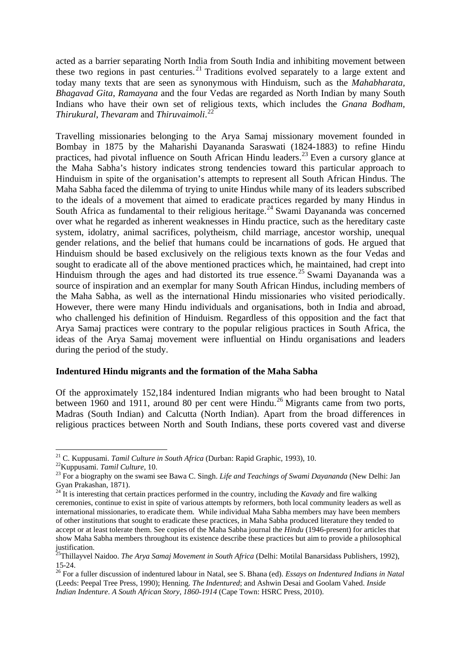acted as a barrier separating North India from South India and inhibiting movement between these two regions in past centuries. [21](#page-4-0) Traditions evolved separately to a large extent and today many texts that are seen as synonymous with Hinduism, such as the *Mahabharata, Bhagavad Gita*, *Ramayana* and the four Vedas are regarded as North Indian by many South Indians who have their own set of religious texts, which includes the *Gnana Bodham, Thirukural*, *Thevaram* and *Thiruvaimoli*. [22](#page-4-1)

Travelling missionaries belonging to the Arya Samaj missionary movement founded in Bombay in 1875 by the Maharishi Dayananda Saraswati (1824-1883) to refine Hindu practices, had pivotal influence on South African Hindu leaders.<sup>[23](#page-4-2)</sup> Even a cursory glance at the Maha Sabha's history indicates strong tendencies toward this particular approach to Hinduism in spite of the organisation's attempts to represent all South African Hindus. The Maha Sabha faced the dilemma of trying to unite Hindus while many of its leaders subscribed to the ideals of a movement that aimed to eradicate practices regarded by many Hindus in South Africa as fundamental to their religious heritage.<sup>[24](#page-4-3)</sup> Swami Dayananda was concerned over what he regarded as inherent weaknesses in Hindu practice, such as the hereditary caste system, idolatry, animal sacrifices, polytheism, child marriage, ancestor worship, unequal gender relations, and the belief that humans could be incarnations of gods. He argued that Hinduism should be based exclusively on the religious texts known as the four Vedas and sought to eradicate all of the above mentioned practices which, he maintained, had crept into Hinduism through the ages and had distorted its true essence.<sup>[25](#page-4-4)</sup> Swami Dayananda was a source of inspiration and an exemplar for many South African Hindus, including members of the Maha Sabha, as well as the international Hindu missionaries who visited periodically. However, there were many Hindu individuals and organisations, both in India and abroad, who challenged his definition of Hinduism. Regardless of this opposition and the fact that Arya Samaj practices were contrary to the popular religious practices in South Africa, the ideas of the Arya Samaj movement were influential on Hindu organisations and leaders during the period of the study.

#### **Indentured Hindu migrants and the formation of the Maha Sabha**

Of the approximately 152,184 indentured Indian migrants who had been brought to Natal between 1960 and 1911, around 80 per cent were Hindu.<sup>[26](#page-4-5)</sup> Migrants came from two ports, Madras (South Indian) and Calcutta (North Indian). Apart from the broad differences in religious practices between North and South Indians, these ports covered vast and diverse

<span id="page-4-0"></span><sup>&</sup>lt;sup>21</sup> C. Kuppusami. *Tamil Culture in South Africa* (Durban: Rapid Graphic, 1993), 10.<br><sup>22</sup> Kuppusami. *Tamil Culture*, 10.

<span id="page-4-2"></span><span id="page-4-1"></span><sup>&</sup>lt;sup>23</sup> For a biography on the swami see Bawa C. Singh. *Life and Teachings of Swami Dayananda* (New Delhi: Jan Gyan Prakashan, 1871).

<span id="page-4-3"></span><sup>&</sup>lt;sup>24</sup> It is interesting that certain practices performed in the country, including the *Kavady* and fire walking ceremonies, continue to exist in spite of various attempts by reformers, both local community leaders as well as international missionaries, to eradicate them. While individual Maha Sabha members may have been members of other institutions that sought to eradicate these practices, in Maha Sabha produced literature they tended to accept or at least tolerate them. See copies of the Maha Sabha journal the *Hindu* (1946-present) for articles that show Maha Sabha members throughout its existence describe these practices but aim to provide a philosophical justification.

<span id="page-4-4"></span><sup>25</sup>Thillayvel Naidoo. *The Arya Samaj Movement in South Africa* (Delhi: Motilal Banarsidass Publishers, 1992),

<span id="page-4-5"></span><sup>15-24. 26</sup> For a fuller discussion of indentured labour in Natal, see S. Bhana (ed). *Essays on Indentured Indians in Natal*  (Leeds: Peepal Tree Press, 1990); Henning. *The Indentured*; and Ashwin Desai and Goolam Vahed. *Inside Indian Indenture*. *A South African Story, 1860-1914* (Cape Town: HSRC Press, 2010).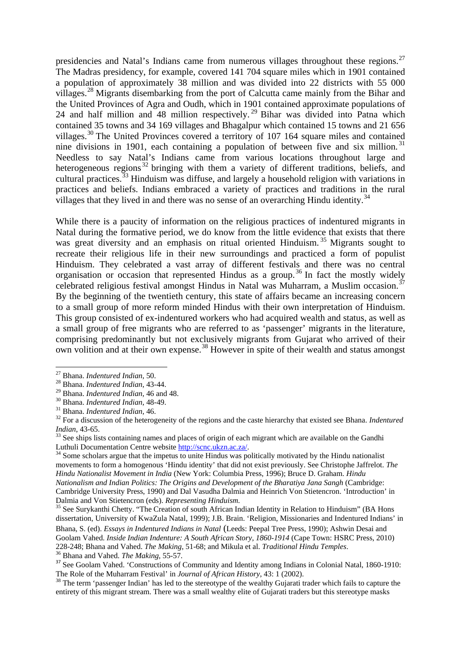presidencies and Natal's Indians came from numerous villages throughout these regions.<sup>[27](#page-5-0)</sup> The Madras presidency, for example, covered 141 704 square miles which in 1901 contained a population of approximately 38 million and was divided into 22 districts with 55 000 villages.[28](#page-5-1) Migrants disembarking from the port of Calcutta came mainly from the Bihar and the United Provinces of Agra and Oudh, which in 1901 contained approximate populations of 24 and half million and 48 million respectively.<sup>[29](#page-5-2)</sup> Bihar was divided into Patna which contained 35 towns and 34 169 villages and Bhagalpur which contained 15 towns and 21 656 villages.<sup>[30](#page-5-3)</sup> The United Provinces covered a territory of 107 164 square miles and contained nine divisions in 1901, each containing a population of between five and six million.<sup>[31](#page-5-4)</sup> Needless to say Natal's Indians came from various locations throughout large and heterogeneous regions<sup>[32](#page-5-5)</sup> bringing with them a variety of different traditions, beliefs, and cultural practices.<sup>[33](#page-5-6)</sup> Hinduism was diffuse, and largely a household religion with variations in practices and beliefs. Indians embraced a variety of practices and traditions in the rural villages that they lived in and there was no sense of an overarching Hindu identity.<sup>[34](#page-5-7)</sup>

While there is a paucity of information on the religious practices of indentured migrants in Natal during the formative period, we do know from the little evidence that exists that there was great diversity and an emphasis on ritual oriented Hinduism. [35](#page-5-8) Migrants sought to recreate their religious life in their new surroundings and practiced a form of populist Hinduism. They celebrated a vast array of different festivals and there was no central organisation or occasion that represented Hindus as a group.<sup>[36](#page-5-9)</sup> In fact the mostly widely celebrated religious festival amongst Hindus in Natal was Muharram, a Muslim occasion.<sup>[37](#page-5-10)</sup> By the beginning of the twentieth century, this state of affairs became an increasing concern to a small group of more reform minded Hindus with their own interpretation of Hinduism. This group consisted of ex-indentured workers who had acquired wealth and status, as well as a small group of free migrants who are referred to as 'passenger' migrants in the literature, comprising predominantly but not exclusively migrants from Gujarat who arrived of their own volition and at their own expense.<sup>[38](#page-5-11)</sup> However in spite of their wealth and status amongst

1

<span id="page-5-7"></span> $34$  Some scholars argue that the impetus to unite Hindus was politically motivated by the Hindu nationalist movements to form a homogenous 'Hindu identity' that did not exist previously. See Christophe Jaffrelot. *The Hindu Nationalist Movement in India* (New York: Columbia Press, 1996); Bruce D. Graham. *Hindu Nationalism and Indian Politics: The Origins and Development of the Bharatiya Jana Sangh* (Cambridge: Cambridge University Press, 1990) and Dal Vasudha Dalmia and Heinrich Von Stietencron. 'Introduction' in Dalmia and Von Stietencron (eds). Representing Hinduism.

Bhana, S. (ed). *Essays in Indentured Indians in Natal* (Leeds: Peepal Tree Press, 1990); Ashwin Desai and Goolam Vahed. *Inside Indian Indenture: A South African Story, 1860-1914* (Cape Town: HSRC Press, 2010)

<span id="page-5-0"></span><sup>27</sup> Bhana. *Indentured Indian*, 50.

<span id="page-5-1"></span><sup>28</sup> Bhana. *Indentured Indian*, 43-44.

<span id="page-5-4"></span><span id="page-5-3"></span><span id="page-5-2"></span><sup>&</sup>lt;sup>30</sup> Bhana. *Indentured Indian*, 48-49.<br><sup>31</sup> Bhana. *Indentured Indian*, 46.<br><sup>32</sup> For a discussion of the heterogeneity of the regions and the caste hierarchy that existed see Bhana. *Indentured* 

<span id="page-5-6"></span><span id="page-5-5"></span>*Indian*, 43-65.<br><sup>33</sup> See ships lists containing names and places of origin of each migrant which are available on the Gandhi<br>Luthuli Documentation Centre website http://scnc.ukzn.ac.za/.

<span id="page-5-8"></span><sup>&</sup>lt;sup>35</sup> See Surykanthi Chetty. "The Creation of south African Indian Identity in Relation to Hinduism" (BA Hons dissertation, University of KwaZula Natal, 1999); J.B. Brain. 'Religion, Missionaries and Indentured Indians' in

<span id="page-5-10"></span><span id="page-5-9"></span><sup>&</sup>lt;sup>36</sup> Bhana and Vahed. *The Making*, 55-57.<br><sup>37</sup> See Goolam Vahed. 'Constructions of Community and Identity among Indians in Colonial Natal, 1860-1910:<br>The Role of the Muharram Festival' in *Journal of African History*. 43

<span id="page-5-11"></span><sup>&</sup>lt;sup>38</sup> The term 'passenger Indian' has led to the stereotype of the wealthy Gujarati trader which fails to capture the entirety of this migrant stream. There was a small wealthy elite of Gujarati traders but this stereotype masks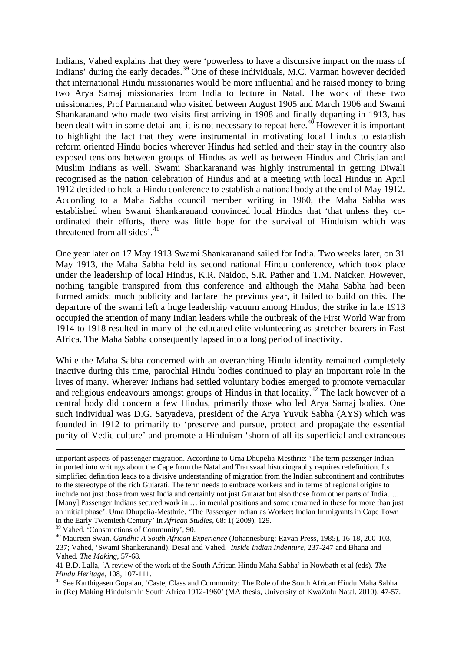Indians, Vahed explains that they were 'powerless to have a discursive impact on the mass of Indians' during the early decades.<sup>[39](#page-6-0)</sup> One of these individuals, M.C. Varman however decided that international Hindu missionaries would be more influential and he raised money to bring two Arya Samaj missionaries from India to lecture in Natal. The work of these two missionaries, Prof Parmanand who visited between August 1905 and March 1906 and Swami Shankaranand who made two visits first arriving in 1908 and finally departing in 1913, has been dealt with in some detail and it is not necessary to repeat here.<sup>[40](#page-6-1)</sup> However it is important to highlight the fact that they were instrumental in motivating local Hindus to establish reform oriented Hindu bodies wherever Hindus had settled and their stay in the country also exposed tensions between groups of Hindus as well as between Hindus and Christian and Muslim Indians as well. Swami Shankaranand was highly instrumental in getting Diwali recognised as the nation celebration of Hindus and at a meeting with local Hindus in April 1912 decided to hold a Hindu conference to establish a national body at the end of May 1912. According to a Maha Sabha council member writing in 1960, the Maha Sabha was established when Swami Shankaranand convinced local Hindus that 'that unless they coordinated their efforts, there was little hope for the survival of Hinduism which was threatened from all sides'.<sup>[41](#page-6-2)</sup>

One year later on 17 May 1913 Swami Shankaranand sailed for India. Two weeks later, on 31 May 1913, the Maha Sabha held its second national Hindu conference, which took place under the leadership of local Hindus, K.R. Naidoo, S.R. Pather and T.M. Naicker. However, nothing tangible transpired from this conference and although the Maha Sabha had been formed amidst much publicity and fanfare the previous year, it failed to build on this. The departure of the swami left a huge leadership vacuum among Hindus; the strike in late 1913 occupied the attention of many Indian leaders while the outbreak of the First World War from 1914 to 1918 resulted in many of the educated elite volunteering as stretcher-bearers in East Africa. The Maha Sabha consequently lapsed into a long period of inactivity.

While the Maha Sabha concerned with an overarching Hindu identity remained completely inactive during this time, parochial Hindu bodies continued to play an important role in the lives of many. Wherever Indians had settled voluntary bodies emerged to promote vernacular and religious endeavours amongst groups of Hindus in that locality.<sup>[42](#page-6-3)</sup> The lack however of a central body did concern a few Hindus, primarily those who led Arya Samaj bodies. One such individual was D.G. Satyadeva, president of the Arya Yuvuk Sabha (AYS) which was founded in 1912 to primarily to 'preserve and pursue, protect and propagate the essential purity of Vedic culture' and promote a Hinduism 'shorn of all its superficial and extraneous

important aspects of passenger migration. According to Uma Dhupelia-Mesthrie: 'The term passenger Indian imported into writings about the Cape from the Natal and Transvaal historiography requires redefinition. Its simplified definition leads to a divisive understanding of migration from the Indian subcontinent and contributes to the stereotype of the rich Gujarati. The term needs to embrace workers and in terms of regional origins to include not just those from west India and certainly not just Gujarat but also those from other parts of India….. [Many] Passenger Indians secured work in … in menial positions and some remained in these for more than just an initial phase'. Uma Dhupelia-Mesthrie. *'*The Passenger Indian as Worker: Indian Immigrants in Cape Town in the Early Twentieth Century' in *African Studies*, 68: 1( 2009), 129.

<span id="page-6-1"></span><span id="page-6-0"></span><sup>&</sup>lt;sup>40</sup> Maureen Swan. *Gandhi: A South African Experience* (Johannesburg: Ravan Press, 1985), 16-18, 200-103, 237; Vahed, 'Swami Shankeranand); Desai and Vahed. *Inside Indian Indenture*, 237-247 and Bhana and Vahed. *The Making*, 57-68.

<span id="page-6-2"></span><sup>41</sup> B.D. Lalla, 'A review of the work of the South African Hindu Maha Sabha' in Nowbath et al (eds). *The Hindu Heritage*, 108, 107-111.<br><sup>42</sup> See Karthigasen Gopalan, 'Caste, Class and Community: The Role of the South African Hindu Maha Sabha

<span id="page-6-3"></span>in (Re) Making Hinduism in South Africa 1912-1960' (MA thesis, University of KwaZulu Natal, 2010), 47-57.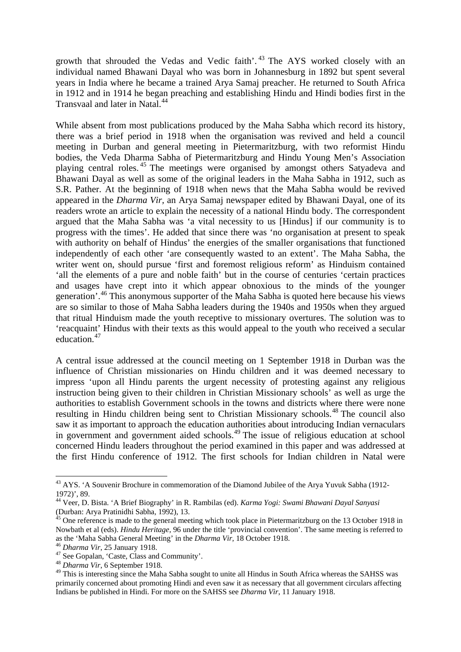growth that shrouded the Vedas and Vedic faith'. [43](#page-7-0) The AYS worked closely with an individual named Bhawani Dayal who was born in Johannesburg in 1892 but spent several years in India where he became a trained Arya Samaj preacher. He returned to South Africa in 1912 and in 1914 he began preaching and establishing Hindu and Hindi bodies first in the Transvaal and later in Natal. [44](#page-7-1)

While absent from most publications produced by the Maha Sabha which record its history, there was a brief period in 1918 when the organisation was revived and held a council meeting in Durban and general meeting in Pietermaritzburg, with two reformist Hindu bodies, the Veda Dharma Sabha of Pietermaritzburg and Hindu Young Men's Association playing central roles. [45](#page-7-2) The meetings were organised by amongst others Satyadeva and Bhawani Dayal as well as some of the original leaders in the Maha Sabha in 1912, such as S.R. Pather. At the beginning of 1918 when news that the Maha Sabha would be revived appeared in the *Dharma Vir,* an Arya Samaj newspaper edited by Bhawani Dayal*,* one of its readers wrote an article to explain the necessity of a national Hindu body. The correspondent argued that the Maha Sabha was 'a vital necessity to us [Hindus] if our community is to progress with the times'. He added that since there was 'no organisation at present to speak with authority on behalf of Hindus' the energies of the smaller organisations that functioned independently of each other 'are consequently wasted to an extent'. The Maha Sabha, the writer went on, should pursue 'first and foremost religious reform' as Hinduism contained 'all the elements of a pure and noble faith' but in the course of centuries 'certain practices and usages have crept into it which appear obnoxious to the minds of the younger generation'. [46](#page-7-3) This anonymous supporter of the Maha Sabha is quoted here because his views are so similar to those of Maha Sabha leaders during the 1940s and 1950s when they argued that ritual Hinduism made the youth receptive to missionary overtures. The solution was to 'reacquaint' Hindus with their texts as this would appeal to the youth who received a secular education.<sup>[47](#page-7-4)</sup>

A central issue addressed at the council meeting on 1 September 1918 in Durban was the influence of Christian missionaries on Hindu children and it was deemed necessary to impress 'upon all Hindu parents the urgent necessity of protesting against any religious instruction being given to their children in Christian Missionary schools' as well as urge the authorities to establish Government schools in the towns and districts where there were none resulting in Hindu children being sent to Christian Missionary schools.<sup>[48](#page-7-5)</sup> The council also saw it as important to approach the education authorities about introducing Indian vernaculars in government and government aided schools.<sup>[49](#page-7-6)</sup> The issue of religious education at school concerned Hindu leaders throughout the period examined in this paper and was addressed at the first Hindu conference of 1912. The first schools for Indian children in Natal were

<span id="page-7-0"></span><sup>&</sup>lt;sup>43</sup> AYS. 'A Souvenir Brochure in commemoration of the Diamond Jubilee of the Arya Yuvuk Sabha (1912-1972)', 89.

<span id="page-7-1"></span><sup>44</sup> Veer, D. Bista. 'A Brief Biography' in R. Rambilas (ed). *Karma Yogi: Swami Bhawani Dayal Sanyasi* (Durban: Arya Pratinidhi Sabha, 1992), 13. <sup>45</sup> One reference is made to the general meeting which took place in Pietermaritzburg on the 13 October 1918 in

<span id="page-7-2"></span>Nowbath et al (eds). *Hindu Heritage,* 96 under the title 'provincial convention'. The same meeting is referred to as the 'Maha Sabha General Meeting' in the *Dharma Vir*, 18 October 1918.<br><sup>46</sup> *Dharma Vir*, 25 January 1918.<br><sup>47</sup> See Gopalan, 'Caste, Class and Community'. <sup>48</sup> *Dharma Vir*, 6 September 1918.

<span id="page-7-3"></span>

<span id="page-7-4"></span>

<span id="page-7-6"></span><span id="page-7-5"></span><sup>&</sup>lt;sup>49</sup> This is interesting since the Maha Sabha sought to unite all Hindus in South Africa whereas the SAHSS was primarily concerned about promoting Hindi and even saw it as necessary that all government circulars affecting Indians be published in Hindi. For more on the SAHSS see *Dharma Vir*, 11 January 1918.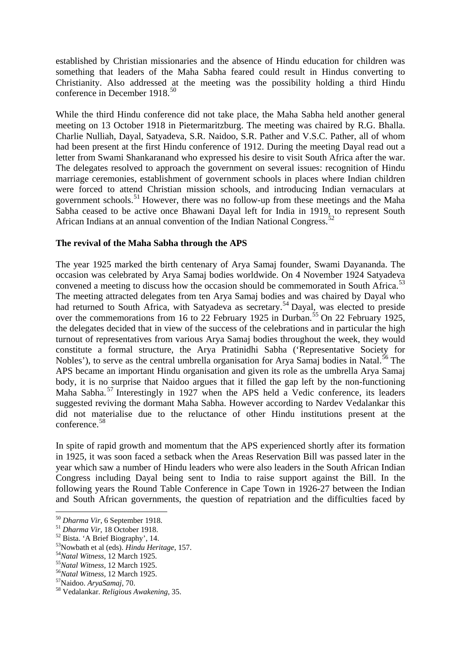established by Christian missionaries and the absence of Hindu education for children was something that leaders of the Maha Sabha feared could result in Hindus converting to Christianity. Also addressed at the meeting was the possibility holding a third Hindu conference in December 1918.<sup>[50](#page-8-0)</sup>

While the third Hindu conference did not take place, the Maha Sabha held another general meeting on 13 October 1918 in Pietermaritzburg. The meeting was chaired by R.G. Bhalla. Charlie Nulliah, Dayal, Satyadeva, S.R. Naidoo, S.R. Pather and V.S.C. Pather, all of whom had been present at the first Hindu conference of 1912. During the meeting Dayal read out a letter from Swami Shankaranand who expressed his desire to visit South Africa after the war. The delegates resolved to approach the government on several issues: recognition of Hindu marriage ceremonies, establishment of government schools in places where Indian children were forced to attend Christian mission schools, and introducing Indian vernaculars at government schools.<sup>[51](#page-8-1)</sup> However, there was no follow-up from these meetings and the Maha Sabha ceased to be active once Bhawani Dayal left for India in 1919, to represent South African Indians at an annual convention of the Indian National Congress.<sup>[52](#page-8-2)</sup>

### **The revival of the Maha Sabha through the APS**

The year 1925 marked the birth centenary of Arya Samaj founder, Swami Dayananda. The occasion was celebrated by Arya Samaj bodies worldwide. On 4 November 1924 Satyadeva convened a meeting to discuss how the occasion should be commemorated in South Africa.<sup>[53](#page-8-3)</sup> The meeting attracted delegates from ten Arya Samaj bodies and was chaired by Dayal who had returned to South Africa, with Satyadeva as secretary.<sup>[54](#page-8-4)</sup> Dayal, was elected to preside over the commemorations from 16 to 22 February 1925 in Durban.<sup>[55](#page-8-5)</sup> On 22 February 1925, the delegates decided that in view of the success of the celebrations and in particular the high turnout of representatives from various Arya Samaj bodies throughout the week, they would constitute a formal structure, the Arya Pratinidhi Sabha ('Representative Society for Nobles'), to serve as the central umbrella organisation for Arya Samaj bodies in Natal.<sup>[56](#page-8-6)</sup> The APS became an important Hindu organisation and given its role as the umbrella Arya Samaj body, it is no surprise that Naidoo argues that it filled the gap left by the non-functioning Maha Sabha.<sup>[57](#page-8-7)</sup> Interestingly in 1927 when the APS held a Vedic conference, its leaders suggested reviving the dormant Maha Sabha. However according to Nardev Vedalankar this did not materialise due to the reluctance of other Hindu institutions present at the conference. [58](#page-8-8)

In spite of rapid growth and momentum that the APS experienced shortly after its formation in 1925, it was soon faced a setback when the Areas Reservation Bill was passed later in the year which saw a number of Hindu leaders who were also leaders in the South African Indian Congress including Dayal being sent to India to raise support against the Bill. In the following years the Round Table Conference in Cape Town in 1926-27 between the Indian and South African governments, the question of repatriation and the difficulties faced by

<span id="page-8-1"></span>

<span id="page-8-2"></span>

<span id="page-8-0"></span><sup>&</sup>lt;sup>50</sup> Dharma Vir, 6 September 1918.<br>
<sup>51</sup> Dharma Vir, 18 October 1918.<br>
<sup>52</sup> Bista. 'A Brief Biography', 14.<br>
<sup>53</sup> Nowbath et al (eds). *Hindu Heritage*, 157.<br>
<sup>54</sup> Natal Witness, 12 March 1925.<br>
<sup>55</sup> Natal Witness, 12 Mar

<span id="page-8-4"></span><span id="page-8-3"></span>

<span id="page-8-5"></span>

<span id="page-8-6"></span>

<span id="page-8-7"></span>

<span id="page-8-8"></span>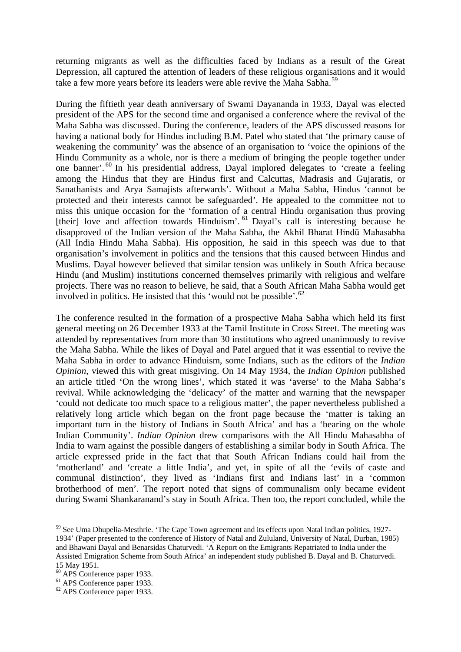returning migrants as well as the difficulties faced by Indians as a result of the Great Depression, all captured the attention of leaders of these religious organisations and it would take a few more years before its leaders were able revive the Maha Sabha.<sup>[59](#page-9-0)</sup>

During the fiftieth year death anniversary of Swami Dayananda in 1933, Dayal was elected president of the APS for the second time and organised a conference where the revival of the Maha Sabha was discussed. During the conference, leaders of the APS discussed reasons for having a national body for Hindus including B.M. Patel who stated that 'the primary cause of weakening the community' was the absence of an organisation to 'voice the opinions of the Hindu Community as a whole, nor is there a medium of bringing the people together under one banner'. [60](#page-9-1) In his presidential address, Dayal implored delegates to 'create a feeling among the Hindus that they are Hindus first and Calcuttas, Madrasis and Gujaratis, or Sanathanists and Arya Samajists afterwards'. Without a Maha Sabha, Hindus 'cannot be protected and their interests cannot be safeguarded'. He appealed to the committee not to miss this unique occasion for the 'formation of a central Hindu organisation thus proving [their] love and affection towards Hinduism'. <sup>[61](#page-9-2)</sup> Dayal's call is interesting because he disapproved of the Indian version of the Maha Sabha, the Akhil Bharat Hindū Mahasabha (All India Hindu Maha Sabha). His opposition, he said in this speech was due to that organisation's involvement in politics and the tensions that this caused between Hindus and Muslims. Dayal however believed that similar tension was unlikely in South Africa because Hindu (and Muslim) institutions concerned themselves primarily with religious and welfare projects. There was no reason to believe, he said, that a South African Maha Sabha would get involved in politics. He insisted that this 'would not be possible'.<sup>[62](#page-9-3)</sup>

The conference resulted in the formation of a prospective Maha Sabha which held its first general meeting on 26 December 1933 at the Tamil Institute in Cross Street. The meeting was attended by representatives from more than 30 institutions who agreed unanimously to revive the Maha Sabha. While the likes of Dayal and Patel argued that it was essential to revive the Maha Sabha in order to advance Hinduism, some Indians, such as the editors of the *Indian Opinion*, viewed this with great misgiving. On 14 May 1934, the *Indian Opinion* published an article titled 'On the wrong lines', which stated it was 'averse' to the Maha Sabha's revival. While acknowledging the 'delicacy' of the matter and warning that the newspaper 'could not dedicate too much space to a religious matter', the paper nevertheless published a relatively long article which began on the front page because the 'matter is taking an important turn in the history of Indians in South Africa' and has a 'bearing on the whole Indian Community'. *Indian Opinion* drew comparisons with the All Hindu Mahasabha of India to warn against the possible dangers of establishing a similar body in South Africa. The article expressed pride in the fact that that South African Indians could hail from the 'motherland' and 'create a little India', and yet, in spite of all the 'evils of caste and communal distinction', they lived as 'Indians first and Indians last' in a 'common brotherhood of men'. The report noted that signs of communalism only became evident during Swami Shankaranand's stay in South Africa. Then too, the report concluded, while the

<span id="page-9-0"></span><sup>&</sup>lt;sup>59</sup> See Uma Dhupelia-Mesthrie. 'The Cape Town agreement and its effects upon Natal Indian politics, 1927-1934' (Paper presented to the conference of History of Natal and Zululand, University of Natal, Durban, 1985) and Bhawani Dayal and Benarsidas Chaturvedi. 'A Report on the Emigrants Repatriated to India under the Assisted Emigration Scheme from South Africa' an independent study published B. Dayal and B. Chaturvedi.

<sup>15</sup> May 1951.<br><sup>60</sup> APS Conference paper 1933.

<span id="page-9-3"></span><span id="page-9-2"></span><span id="page-9-1"></span> $61$  APS Conference paper 1933.<br> $62$  APS Conference paper 1933.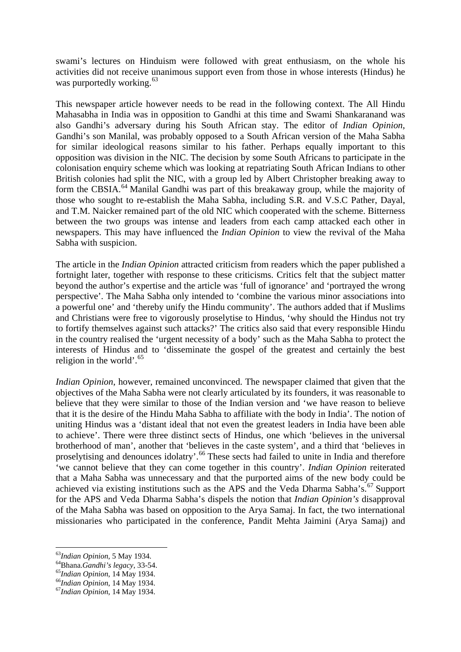swami's lectures on Hinduism were followed with great enthusiasm, on the whole his activities did not receive unanimous support even from those in whose interests (Hindus) he was purportedly working.<sup>[63](#page-10-0)</sup>

This newspaper article however needs to be read in the following context. The All Hindu Mahasabha in India was in opposition to Gandhi at this time and Swami Shankaranand was also Gandhi's adversary during his South African stay. The editor of *Indian Opinion*, Gandhi's son Manilal, was probably opposed to a South African version of the Maha Sabha for similar ideological reasons similar to his father. Perhaps equally important to this opposition was division in the NIC. The decision by some South Africans to participate in the colonisation enquiry scheme which was looking at repatriating South African Indians to other British colonies had split the NIC, with a group led by Albert Christopher breaking away to form the CBSIA.<sup>[64](#page-10-1)</sup> Manilal Gandhi was part of this breakaway group, while the majority of those who sought to re-establish the Maha Sabha, including S.R. and V.S.C Pather, Dayal, and T.M. Naicker remained part of the old NIC which cooperated with the scheme. Bitterness between the two groups was intense and leaders from each camp attacked each other in newspapers. This may have influenced the *Indian Opinion* to view the revival of the Maha Sabha with suspicion.

The article in the *Indian Opinion* attracted criticism from readers which the paper published a fortnight later, together with response to these criticisms. Critics felt that the subject matter beyond the author's expertise and the article was 'full of ignorance' and 'portrayed the wrong perspective'. The Maha Sabha only intended to 'combine the various minor associations into a powerful one' and 'thereby unify the Hindu community'. The authors added that if Muslims and Christians were free to vigorously proselytise to Hindus, 'why should the Hindus not try to fortify themselves against such attacks?' The critics also said that every responsible Hindu in the country realised the 'urgent necessity of a body' such as the Maha Sabha to protect the interests of Hindus and to 'disseminate the gospel of the greatest and certainly the best religion in the world'. [65](#page-10-2)

*Indian Opinion*, however, remained unconvinced. The newspaper claimed that given that the objectives of the Maha Sabha were not clearly articulated by its founders, it was reasonable to believe that they were similar to those of the Indian version and 'we have reason to believe that it is the desire of the Hindu Maha Sabha to affiliate with the body in India'. The notion of uniting Hindus was a 'distant ideal that not even the greatest leaders in India have been able to achieve'. There were three distinct sects of Hindus, one which 'believes in the universal brotherhood of man', another that 'believes in the caste system', and a third that 'believes in proselytising and denounces idolatry'.<sup>[66](#page-10-3)</sup> These sects had failed to unite in India and therefore 'we cannot believe that they can come together in this country'. *Indian Opinion* reiterated that a Maha Sabha was unnecessary and that the purported aims of the new body could be achieved via existing institutions such as the APS and the Veda Dharma Sabha's.<sup>[67](#page-10-4)</sup> Support for the APS and Veda Dharma Sabha's dispels the notion that *Indian Opinion's* disapproval of the Maha Sabha was based on opposition to the Arya Samaj. In fact, the two international missionaries who participated in the conference, Pandit Mehta Jaimini (Arya Samaj) and

<span id="page-10-0"></span><sup>63</sup>*Indian Opinion,* 5 May 1934.

<span id="page-10-3"></span><span id="page-10-2"></span>

<span id="page-10-1"></span><sup>64</sup>Bhana.*Gandhi's legacy*, 33-54. <sup>65</sup>*Indian Opinion*, 14 May 1934. <sup>66</sup>*Indian Opinion*, 14 May 1934. <sup>67</sup>*Indian Opinion*, 14 May 1934.

<span id="page-10-4"></span>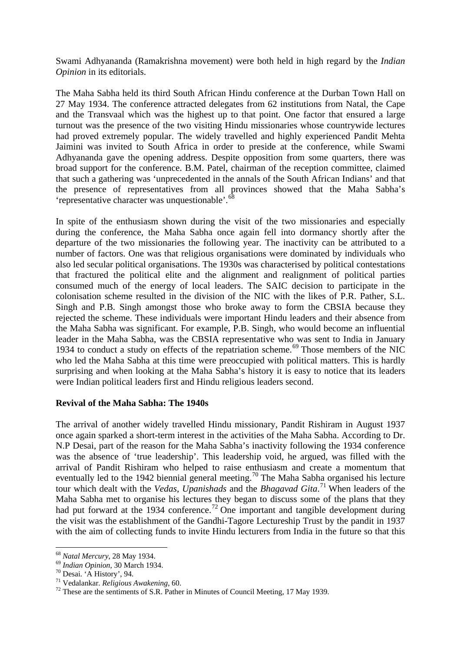Swami Adhyananda (Ramakrishna movement) were both held in high regard by the *Indian Opinion* in its editorials.

The Maha Sabha held its third South African Hindu conference at the Durban Town Hall on 27 May 1934. The conference attracted delegates from 62 institutions from Natal, the Cape and the Transvaal which was the highest up to that point. One factor that ensured a large turnout was the presence of the two visiting Hindu missionaries whose countrywide lectures had proved extremely popular. The widely travelled and highly experienced Pandit Mehta Jaimini was invited to South Africa in order to preside at the conference, while Swami Adhyananda gave the opening address. Despite opposition from some quarters, there was broad support for the conference. B.M. Patel, chairman of the reception committee, claimed that such a gathering was 'unprecedented in the annals of the South African Indians' and that the presence of representatives from all provinces showed that the Maha Sabha's 'representative character was unquestionable'.<sup>[68](#page-11-0)</sup>

In spite of the enthusiasm shown during the visit of the two missionaries and especially during the conference, the Maha Sabha once again fell into dormancy shortly after the departure of the two missionaries the following year. The inactivity can be attributed to a number of factors. One was that religious organisations were dominated by individuals who also led secular political organisations. The 1930s was characterised by political contestations that fractured the political elite and the alignment and realignment of political parties consumed much of the energy of local leaders. The SAIC decision to participate in the colonisation scheme resulted in the division of the NIC with the likes of P.R. Pather, S.L. Singh and P.B. Singh amongst those who broke away to form the CBSIA because they rejected the scheme. These individuals were important Hindu leaders and their absence from the Maha Sabha was significant. For example, P.B. Singh, who would become an influential leader in the Maha Sabha, was the CBSIA representative who was sent to India in January 1934 to conduct a study on effects of the repatriation scheme.<sup>[69](#page-11-1)</sup> Those members of the NIC who led the Maha Sabha at this time were preoccupied with political matters. This is hardly surprising and when looking at the Maha Sabha's history it is easy to notice that its leaders were Indian political leaders first and Hindu religious leaders second.

### **Revival of the Maha Sabha: The 1940s**

The arrival of another widely travelled Hindu missionary, Pandit Rishiram in August 1937 once again sparked a short-term interest in the activities of the Maha Sabha. According to Dr. N.P Desai, part of the reason for the Maha Sabha's inactivity following the 1934 conference was the absence of 'true leadership'. This leadership void, he argued, was filled with the arrival of Pandit Rishiram who helped to raise enthusiasm and create a momentum that eventually led to the 1942 biennial general meeting.<sup>[70](#page-11-2)</sup> The Maha Sabha organised his lecture tour which dealt with the *Vedas, Upanishads* and the *Bhagavad Gita*. [71](#page-11-3) When leaders of the Maha Sabha met to organise his lectures they began to discuss some of the plans that they had put forward at the 1934 conference.<sup>[72](#page-11-4)</sup> One important and tangible development during the visit was the establishment of the Gandhi-Tagore Lectureship Trust by the pandit in 1937 with the aim of collecting funds to invite Hindu lecturers from India in the future so that this

**<sup>.</sup>** <sup>68</sup> *Natal Mercury*, 28 May 1934.

<span id="page-11-4"></span><span id="page-11-3"></span>

<span id="page-11-2"></span><span id="page-11-1"></span><span id="page-11-0"></span><sup>&</sup>lt;sup>69</sup> *Indian Opinion*, 30 March 1934.<br><sup>70</sup> Desai. 'A History', 94.<br><sup>71</sup> Vedalankar. *Religious Awakening*, 60.<br><sup>72</sup> These are the sentiments of S.R. Pather in Minutes of Council Meeting, 17 May 1939.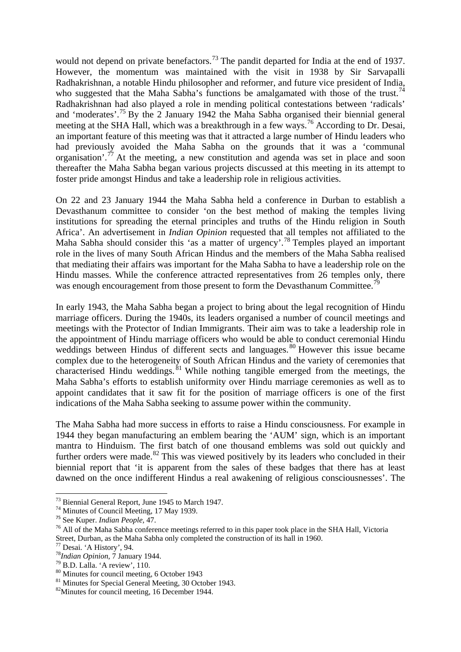would not depend on private benefactors.<sup>[73](#page-12-0)</sup> The pandit departed for India at the end of 1937. However, the momentum was maintained with the visit in 1938 by Sir Sarvapalli Radhakrishnan, a notable Hindu philosopher and reformer, and future vice president of India, who suggested that the Maha Sabha's functions be amalgamated with those of the trust.<sup>[74](#page-12-1)</sup> Radhakrishnan had also played a role in mending political contestations between 'radicals' and 'moderates'. [75](#page-12-2) By the 2 January 1942 the Maha Sabha organised their biennial general meeting at the SHA Hall, which was a breakthrough in a few ways. [76](#page-12-3) According to Dr. Desai, an important feature of this meeting was that it attracted a large number of Hindu leaders who had previously avoided the Maha Sabha on the grounds that it was a 'communal organisation'.<sup>[77](#page-12-4)</sup> At the meeting, a new constitution and agenda was set in place and soon thereafter the Maha Sabha began various projects discussed at this meeting in its attempt to foster pride amongst Hindus and take a leadership role in religious activities.

On 22 and 23 January 1944 the Maha Sabha held a conference in Durban to establish a Devasthanum committee to consider 'on the best method of making the temples living institutions for spreading the eternal principles and truths of the Hindu religion in South Africa'. An advertisement in *Indian Opinion* requested that all temples not affiliated to the Maha Sabha should consider this 'as a matter of urgency'.<sup>[78](#page-12-5)</sup> Temples played an important role in the lives of many South African Hindus and the members of the Maha Sabha realised that mediating their affairs was important for the Maha Sabha to have a leadership role on the Hindu masses. While the conference attracted representatives from 26 temples only, there was enough encouragement from those present to form the Devasthanum Committee.<sup>[79](#page-12-6)</sup>

In early 1943, the Maha Sabha began a project to bring about the legal recognition of Hindu marriage officers. During the 1940s, its leaders organised a number of council meetings and meetings with the Protector of Indian Immigrants. Their aim was to take a leadership role in the appointment of Hindu marriage officers who would be able to conduct ceremonial Hindu weddings between Hindus of different sects and languages. [80](#page-12-7) However this issue became complex due to the heterogeneity of South African Hindus and the variety of ceremonies that compren are to the arrive general while nothing tangible emerged from the meetings, the Maha Sabha's efforts to establish uniformity over Hindu marriage ceremonies as well as to appoint candidates that it saw fit for the position of marriage officers is one of the first indications of the Maha Sabha seeking to assume power within the community.

The Maha Sabha had more success in efforts to raise a Hindu consciousness. For example in 1944 they began manufacturing an emblem bearing the 'AUM' sign, which is an important mantra to Hinduism. The first batch of one thousand emblems was sold out quickly and further orders were made.<sup>[82](#page-12-9)</sup> This was viewed positively by its leaders who concluded in their biennial report that 'it is apparent from the sales of these badges that there has at least dawned on the once indifferent Hindus a real awakening of religious consciousnesses'. The

<sup>73</sup> Biennial General Report, June 1945 to March 1947.

<span id="page-12-1"></span><span id="page-12-0"></span><sup>74</sup> Minutes of Council Meeting, 17 May 1939. <sup>75</sup> See Kuper. *Indian People,* 47.

<span id="page-12-3"></span><span id="page-12-2"></span><sup>&</sup>lt;sup>76</sup> All of the Maha Sabha conference meetings referred to in this paper took place in the SHA Hall, Victoria Street, Durban, as the Maha Sabha only completed the construction of its hall in 1960.<br><sup>77</sup> Desai. 'A History', 94.

<span id="page-12-6"></span>

<span id="page-12-8"></span><span id="page-12-7"></span>

<span id="page-12-5"></span><span id="page-12-4"></span><sup>&</sup>lt;sup>78</sup>Indian Opinion, 7 January 1944.<br><sup>79</sup> B.D. Lalla. 'A review', 110.<br><sup>80</sup> Minutes for council meeting, 6 October 1943<br><sup>81</sup> Minutes for Special General Meeting, 30 October 1943.<br><sup>82</sup> Minutes for council meeting, 16 Decemb

<span id="page-12-9"></span>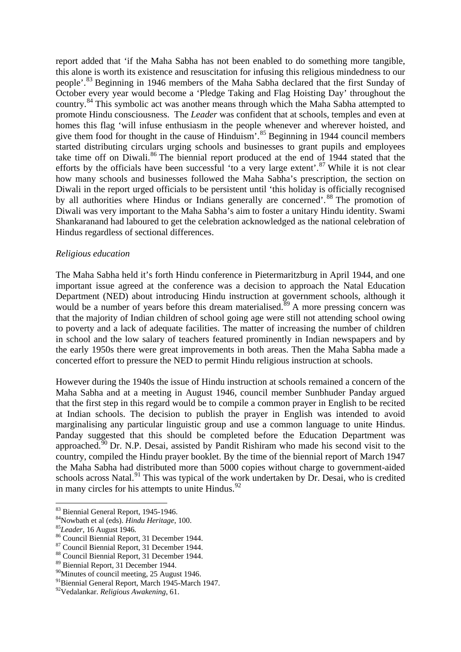report added that 'if the Maha Sabha has not been enabled to do something more tangible, this alone is worth its existence and resuscitation for infusing this religious mindedness to our people'.<sup>[83](#page-13-0)</sup> Beginning in 1946 members of the Maha Sabha declared that the first Sunday of October every year would become a 'Pledge Taking and Flag Hoisting Day' throughout the country.<sup>[84](#page-13-1)</sup> This symbolic act was another means through which the Maha Sabha attempted to promote Hindu consciousness. The *Leader* was confident that at schools, temples and even at homes this flag 'will infuse enthusiasm in the people whenever and wherever hoisted, and give them food for thought in the cause of Hinduism'. [85](#page-13-2) Beginning in 1944 council members started distributing circulars urging schools and businesses to grant pupils and employees take time off on Diwali. [86](#page-13-3) The biennial report produced at the end of 1944 stated that the efforts by the officials have been successful 'to a very large extent'.<sup>[87](#page-13-4)</sup> While it is not clear how many schools and businesses followed the Maha Sabha's prescription, the section on Diwali in the report urged officials to be persistent until 'this holiday is officially recognised by all authorities where Hindus or Indians generally are concerned'.<sup>[88](#page-13-5)</sup> The promotion of Diwali was very important to the Maha Sabha's aim to foster a unitary Hindu identity. Swami Shankaranand had laboured to get the celebration acknowledged as the national celebration of Hindus regardless of sectional differences.

#### *Religious education*

The Maha Sabha held it's forth Hindu conference in Pietermaritzburg in April 1944, and one important issue agreed at the conference was a decision to approach the Natal Education Department (NED) about introducing Hindu instruction at government schools, although it would be a number of years before this dream materialised.<sup>[89](#page-13-6)</sup> A more pressing concern was that the majority of Indian children of school going age were still not attending school owing to poverty and a lack of adequate facilities. The matter of increasing the number of children in school and the low salary of teachers featured prominently in Indian newspapers and by the early 1950s there were great improvements in both areas. Then the Maha Sabha made a concerted effort to pressure the NED to permit Hindu religious instruction at schools.

However during the 1940s the issue of Hindu instruction at schools remained a concern of the Maha Sabha and at a meeting in August 1946, council member Sunbhuder Panday argued that the first step in this regard would be to compile a common prayer in English to be recited at Indian schools. The decision to publish the prayer in English was intended to avoid marginalising any particular linguistic group and use a common language to unite Hindus. Panday suggested that this should be completed before the Education Department was approached.<sup> $50$ </sup> Dr. N.P. Desai, assisted by Pandit Rishiram who made his second visit to the country, compiled the Hindu prayer booklet. By the time of the biennial report of March 1947 the Maha Sabha had distributed more than 5000 copies without charge to government-aided schools across Natal.<sup>[91](#page-13-8)</sup> This was typical of the work undertaken by Dr. Desai, who is credited in many circles for his attempts to unite Hindus. $^{92}$  $^{92}$  $^{92}$ 

<span id="page-13-1"></span>

<span id="page-13-2"></span>

<span id="page-13-0"></span><sup>&</sup>lt;sup>83</sup> Biennial General Report, 1945-1946.<br><sup>84</sup> Nowbath et al (eds). *Hindu Heritage*, 100.<br><sup>85</sup> Leader, 16 August 1946.<br><sup>86</sup> Council Biennial Report, 31 December 1944.<br><sup>87</sup> Council Biennial Report, 31 December 1944.<br><sup>87</sup> C

<span id="page-13-4"></span><span id="page-13-3"></span>

<span id="page-13-6"></span><span id="page-13-5"></span><sup>89</sup> Biennial Report, 31 December 1944.

<span id="page-13-7"></span><sup>&</sup>lt;sup>90</sup>Minutes of council meeting, 25 August 1946.

<span id="page-13-8"></span><sup>&</sup>lt;sup>91</sup>Biennial General Report, March 1945-March 1947.

<span id="page-13-9"></span><sup>92</sup>Vedalankar. *Religious Awakening*, 61.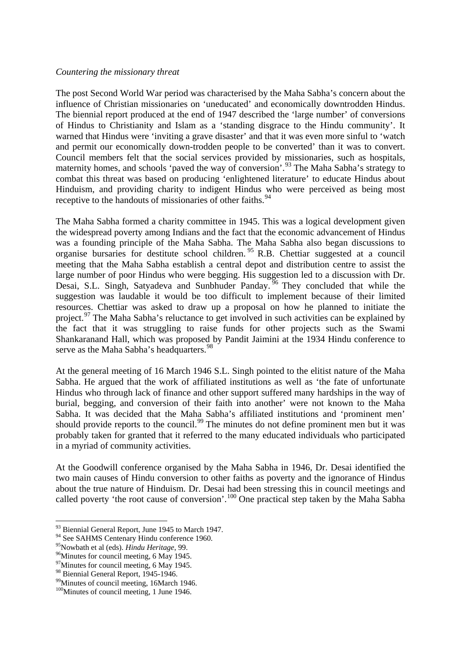#### *Countering the missionary threat*

The post Second World War period was characterised by the Maha Sabha's concern about the influence of Christian missionaries on 'uneducated' and economically downtrodden Hindus. The biennial report produced at the end of 1947 described the 'large number' of conversions of Hindus to Christianity and Islam as a 'standing disgrace to the Hindu community'. It warned that Hindus were 'inviting a grave disaster' and that it was even more sinful to 'watch and permit our economically down-trodden people to be converted' than it was to convert. Council members felt that the social services provided by missionaries, such as hospitals, maternity homes, and schools 'paved the way of conversion'.<sup>[93](#page-14-0)</sup> The Maha Sabha's strategy to combat this threat was based on producing 'enlightened literature' to educate Hindus about Hinduism, and providing charity to indigent Hindus who were perceived as being most receptive to the handouts of missionaries of other faiths.<sup>[94](#page-14-1)</sup>

The Maha Sabha formed a charity committee in 1945. This was a logical development given the widespread poverty among Indians and the fact that the economic advancement of Hindus was a founding principle of the Maha Sabha. The Maha Sabha also began discussions to organise bursaries for destitute school children. [95](#page-14-2) R.B. Chettiar suggested at a council meeting that the Maha Sabha establish a central depot and distribution centre to assist the large number of poor Hindus who were begging. His suggestion led to a discussion with Dr. Desai, S.L. Singh, Satyadeva and Sunbhuder Panday.<sup>[96](#page-14-3)</sup> They concluded that while the suggestion was laudable it would be too difficult to implement because of their limited resources. Chettiar was asked to draw up a proposal on how he planned to initiate the project.<sup>[97](#page-14-4)</sup> The Maha Sabha's reluctance to get involved in such activities can be explained by the fact that it was struggling to raise funds for other projects such as the Swami Shankaranand Hall, which was proposed by Pandit Jaimini at the 1934 Hindu conference to serve as the Maha Sabha's headquarters.<sup>[98](#page-14-5)</sup>

At the general meeting of 16 March 1946 S.L. Singh pointed to the elitist nature of the Maha Sabha. He argued that the work of affiliated institutions as well as 'the fate of unfortunate Hindus who through lack of finance and other support suffered many hardships in the way of burial, begging, and conversion of their faith into another' were not known to the Maha Sabha. It was decided that the Maha Sabha's affiliated institutions and 'prominent men' should provide reports to the council.<sup>[99](#page-14-6)</sup> The minutes do not define prominent men but it was probably taken for granted that it referred to the many educated individuals who participated in a myriad of community activities.

At the Goodwill conference organised by the Maha Sabha in 1946, Dr. Desai identified the two main causes of Hindu conversion to other faiths as poverty and the ignorance of Hindus about the true nature of Hinduism. Dr. Desai had been stressing this in council meetings and called poverty 'the root cause of conversion'.<sup>[100](#page-14-7)</sup> One practical step taken by the Maha Sabha

**<sup>.</sup>** <sup>93</sup> Biennial General Report, June 1945 to March 1947.

<span id="page-14-1"></span><span id="page-14-0"></span><sup>&</sup>lt;sup>94</sup> See SAHMS Centenary Hindu conference 1960.<br><sup>95</sup> Nowbath et al (eds). *Hindu Heritage*, 99.

<span id="page-14-3"></span><span id="page-14-2"></span><sup>&</sup>lt;sup>96</sup>Minutes for council meeting, 6 May 1945.

<span id="page-14-4"></span><sup>&</sup>lt;sup>97</sup>Minutes for council meeting, 6 May 1945.<br><sup>98</sup> Biennial General Report, 1945-1946.

<span id="page-14-6"></span><span id="page-14-5"></span><sup>&</sup>lt;sup>99</sup> Minutes of council meeting, 16March 1946.

<span id="page-14-7"></span><sup>&</sup>lt;sup>100</sup>Minutes of council meeting, 1 June 1946.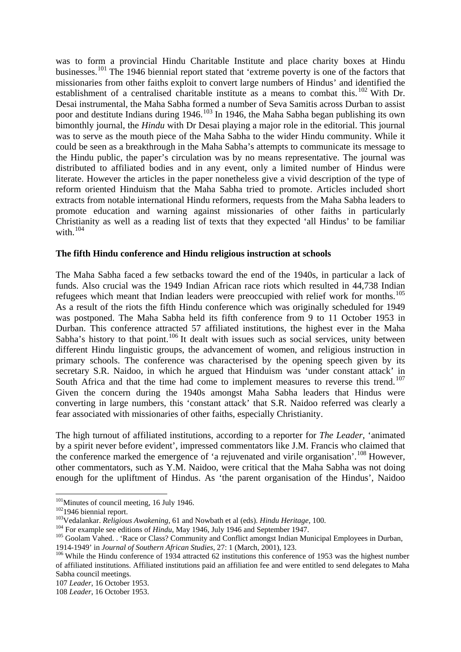was to form a provincial Hindu Charitable Institute and place charity boxes at Hindu businesses.[101](#page-15-0) The 1946 biennial report stated that 'extreme poverty is one of the factors that missionaries from other faiths exploit to convert large numbers of Hindus' and identified the establishment of a centralised charitable institute as a means to combat this. <sup>[102](#page-15-1)</sup> With Dr. Desai instrumental, the Maha Sabha formed a number of Seva Samitis across Durban to assist poor and destitute Indians during  $1946$ <sup>[103](#page-15-2)</sup> In 1946, the Maha Sabha began publishing its own bimonthly journal, the *Hindu* with Dr Desai playing a major role in the editorial. This journal was to serve as the mouth piece of the Maha Sabha to the wider Hindu community. While it could be seen as a breakthrough in the Maha Sabha's attempts to communicate its message to the Hindu public, the paper's circulation was by no means representative. The journal was distributed to affiliated bodies and in any event, only a limited number of Hindus were literate. However the articles in the paper nonetheless give a vivid description of the type of reform oriented Hinduism that the Maha Sabha tried to promote. Articles included short extracts from notable international Hindu reformers, requests from the Maha Sabha leaders to promote education and warning against missionaries of other faiths in particularly Christianity as well as a reading list of texts that they expected 'all Hindus' to be familiar with. [104](#page-15-3)

#### **The fifth Hindu conference and Hindu religious instruction at schools**

The Maha Sabha faced a few setbacks toward the end of the 1940s, in particular a lack of funds. Also crucial was the 1949 Indian African race riots which resulted in 44,738 Indian refugees which meant that Indian leaders were preoccupied with relief work for months.<sup>[105](#page-15-4)</sup> As a result of the riots the fifth Hindu conference which was originally scheduled for 1949 was postponed. The Maha Sabha held its fifth conference from 9 to 11 October 1953 in Durban. This conference attracted 57 affiliated institutions, the highest ever in the Maha Sabha's history to that point.<sup>[106](#page-15-5)</sup> It dealt with issues such as social services, unity between different Hindu linguistic groups, the advancement of women, and religious instruction in primary schools. The conference was characterised by the opening speech given by its secretary S.R. Naidoo, in which he argued that Hinduism was 'under constant attack' in South Africa and that the time had come to implement measures to reverse this trend.<sup>[107](#page-15-6)</sup> Given the concern during the 1940s amongst Maha Sabha leaders that Hindus were converting in large numbers, this 'constant attack' that S.R. Naidoo referred was clearly a fear associated with missionaries of other faiths, especially Christianity.

The high turnout of affiliated institutions, according to a reporter for *The Leader*, 'animated by a spirit never before evident', impressed commentators like J.M. Francis who claimed that the conference marked the emergence of 'a rejuvenated and virile organisation'.<sup>[108](#page-15-7)</sup> However, other commentators, such as Y.M. Naidoo, were critical that the Maha Sabha was not doing enough for the upliftment of Hindus. As 'the parent organisation of the Hindus', Naidoo

<sup>&</sup>lt;sup>101</sup>Minutes of council meeting, 16 July 1946.

<span id="page-15-4"></span><span id="page-15-3"></span>

<span id="page-15-2"></span><span id="page-15-1"></span><span id="page-15-0"></span><sup>&</sup>lt;sup>102</sup>1946 biennial report.<br><sup>103</sup>Vedalankar. *Religious Awakening*, 61 and Nowbath et al (eds). *Hindu Heritage*, 100.<br><sup>104</sup> For example see editions of *Hindu*, May 1946, July 1946 and September 1947.<br><sup>105</sup> Goolam Vahed.

<span id="page-15-5"></span><sup>&</sup>lt;sup>106</sup> While the Hindu conference of 1934 attracted 62 institutions this conference of 1953 was the highest number of affiliated institutions. Affiliated institutions paid an affiliation fee and were entitled to send delegates to Maha Sabha council meetings.

<span id="page-15-6"></span><sup>107</sup> *Leader*, 16 October 1953.

<span id="page-15-7"></span><sup>108</sup> *Leader*, 16 October 1953.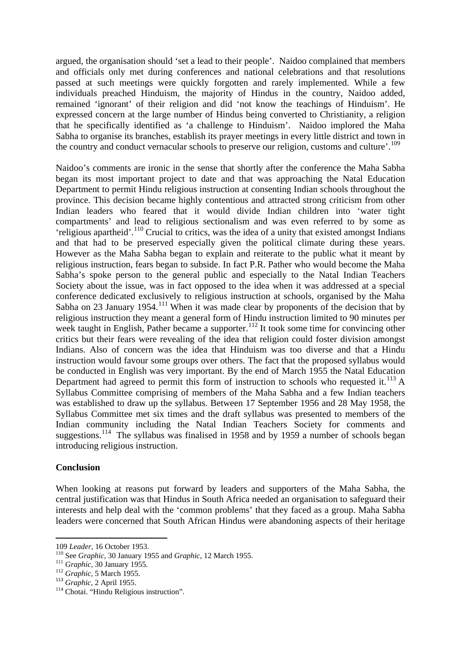argued, the organisation should 'set a lead to their people'. Naidoo complained that members and officials only met during conferences and national celebrations and that resolutions passed at such meetings were quickly forgotten and rarely implemented. While a few individuals preached Hinduism, the majority of Hindus in the country, Naidoo added, remained 'ignorant' of their religion and did 'not know the teachings of Hinduism'. He expressed concern at the large number of Hindus being converted to Christianity, a religion that he specifically identified as 'a challenge to Hinduism'. Naidoo implored the Maha Sabha to organise its branches, establish its prayer meetings in every little district and town in the country and conduct vernacular schools to preserve our religion, customs and culture'.<sup>[109](#page-16-0)</sup>

Naidoo's comments are ironic in the sense that shortly after the conference the Maha Sabha began its most important project to date and that was approaching the Natal Education Department to permit Hindu religious instruction at consenting Indian schools throughout the province. This decision became highly contentious and attracted strong criticism from other Indian leaders who feared that it would divide Indian children into 'water tight compartments' and lead to religious sectionalism and was even referred to by some as  $'$ religious apartheid'.<sup>[110](#page-16-1)</sup> Crucial to critics, was the idea of a unity that existed amongst Indians and that had to be preserved especially given the political climate during these years. However as the Maha Sabha began to explain and reiterate to the public what it meant by religious instruction, fears began to subside. In fact P.R. Pather who would become the Maha Sabha's spoke person to the general public and especially to the Natal Indian Teachers Society about the issue, was in fact opposed to the idea when it was addressed at a special conference dedicated exclusively to religious instruction at schools, organised by the Maha Sabha on 23 January 1954.<sup>[111](#page-16-2)</sup> When it was made clear by proponents of the decision that by religious instruction they meant a general form of Hindu instruction limited to 90 minutes per week taught in English, Pather became a supporter.<sup>[112](#page-16-3)</sup> It took some time for convincing other critics but their fears were revealing of the idea that religion could foster division amongst Indians. Also of concern was the idea that Hinduism was too diverse and that a Hindu instruction would favour some groups over others. The fact that the proposed syllabus would be conducted in English was very important. By the end of March 1955 the Natal Education Department had agreed to permit this form of instruction to schools who requested it.<sup>[113](#page-16-4)</sup> A Syllabus Committee comprising of members of the Maha Sabha and a few Indian teachers was established to draw up the syllabus. Between 17 September 1956 and 28 May 1958, the Syllabus Committee met six times and the draft syllabus was presented to members of the Indian community including the Natal Indian Teachers Society for comments and suggestions.<sup>114</sup> The syllabus was finalised in 1958 and by 1959 a number of schools began introducing religious instruction.

### **Conclusion**

 $\overline{a}$ 

When looking at reasons put forward by leaders and supporters of the Maha Sabha, the central justification was that Hindus in South Africa needed an organisation to safeguard their interests and help deal with the 'common problems' that they faced as a group. Maha Sabha leaders were concerned that South African Hindus were abandoning aspects of their heritage

<span id="page-16-1"></span><span id="page-16-0"></span><sup>109</sup> *Leader*, 16 October 1953. <sup>110</sup> See *Graphic,* 30 January 1955 and *Graphic,* 12 March 1955. <sup>111</sup> *Graphic,* 30 January 1955. <sup>112</sup> *Graphic*, 5 March 1955. <sup>113</sup> *Graphic,* 2 April 1955.

<span id="page-16-2"></span>

<span id="page-16-3"></span>

<span id="page-16-5"></span><span id="page-16-4"></span><sup>&</sup>lt;sup>114</sup> Chotai. "Hindu Religious instruction".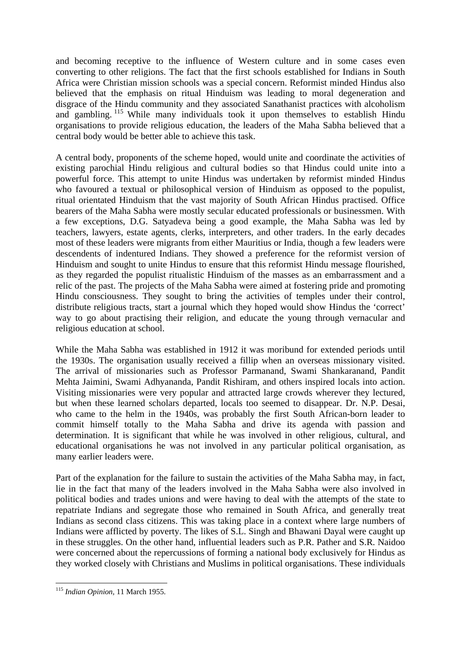and becoming receptive to the influence of Western culture and in some cases even converting to other religions. The fact that the first schools established for Indians in South Africa were Christian mission schools was a special concern. Reformist minded Hindus also believed that the emphasis on ritual Hinduism was leading to moral degeneration and disgrace of the Hindu community and they associated Sanathanist practices with alcoholism and gambling. <sup>[115](#page-17-0)</sup> While many individuals took it upon themselves to establish Hindu organisations to provide religious education, the leaders of the Maha Sabha believed that a central body would be better able to achieve this task.

A central body, proponents of the scheme hoped, would unite and coordinate the activities of existing parochial Hindu religious and cultural bodies so that Hindus could unite into a powerful force. This attempt to unite Hindus was undertaken by reformist minded Hindus who favoured a textual or philosophical version of Hinduism as opposed to the populist, ritual orientated Hinduism that the vast majority of South African Hindus practised. Office bearers of the Maha Sabha were mostly secular educated professionals or businessmen. With a few exceptions, D.G. Satyadeva being a good example, the Maha Sabha was led by teachers, lawyers, estate agents, clerks, interpreters, and other traders. In the early decades most of these leaders were migrants from either Mauritius or India, though a few leaders were descendents of indentured Indians. They showed a preference for the reformist version of Hinduism and sought to unite Hindus to ensure that this reformist Hindu message flourished, as they regarded the populist ritualistic Hinduism of the masses as an embarrassment and a relic of the past. The projects of the Maha Sabha were aimed at fostering pride and promoting Hindu consciousness. They sought to bring the activities of temples under their control, distribute religious tracts, start a journal which they hoped would show Hindus the 'correct' way to go about practising their religion, and educate the young through vernacular and religious education at school.

While the Maha Sabha was established in 1912 it was moribund for extended periods until the 1930s. The organisation usually received a fillip when an overseas missionary visited. The arrival of missionaries such as Professor Parmanand, Swami Shankaranand, Pandit Mehta Jaimini, Swami Adhyananda, Pandit Rishiram, and others inspired locals into action. Visiting missionaries were very popular and attracted large crowds wherever they lectured, but when these learned scholars departed, locals too seemed to disappear. Dr. N.P. Desai, who came to the helm in the 1940s, was probably the first South African-born leader to commit himself totally to the Maha Sabha and drive its agenda with passion and determination. It is significant that while he was involved in other religious, cultural, and educational organisations he was not involved in any particular political organisation, as many earlier leaders were.

Part of the explanation for the failure to sustain the activities of the Maha Sabha may, in fact, lie in the fact that many of the leaders involved in the Maha Sabha were also involved in political bodies and trades unions and were having to deal with the attempts of the state to repatriate Indians and segregate those who remained in South Africa, and generally treat Indians as second class citizens. This was taking place in a context where large numbers of Indians were afflicted by poverty. The likes of S.L. Singh and Bhawani Dayal were caught up in these struggles. On the other hand, influential leaders such as P.R. Pather and S.R. Naidoo were concerned about the repercussions of forming a national body exclusively for Hindus as they worked closely with Christians and Muslims in political organisations. These individuals

<span id="page-17-0"></span> $\overline{a}$ <sup>115</sup> *Indian Opinion,* 11 March 1955.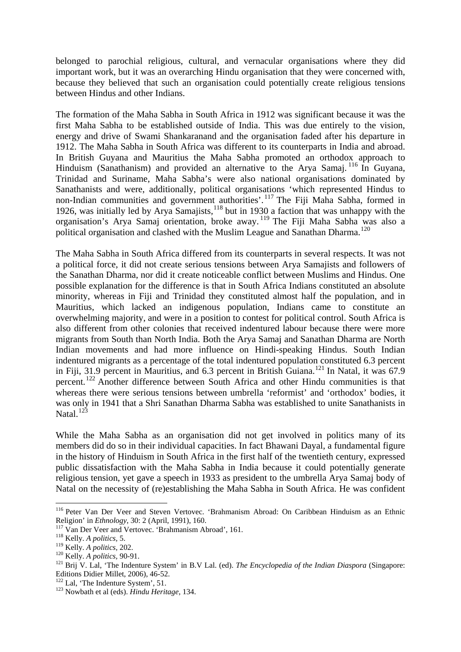belonged to parochial religious, cultural, and vernacular organisations where they did important work, but it was an overarching Hindu organisation that they were concerned with, because they believed that such an organisation could potentially create religious tensions between Hindus and other Indians.

The formation of the Maha Sabha in South Africa in 1912 was significant because it was the first Maha Sabha to be established outside of India. This was due entirely to the vision, energy and drive of Swami Shankaranand and the organisation faded after his departure in 1912. The Maha Sabha in South Africa was different to its counterparts in India and abroad. In British Guyana and Mauritius the Maha Sabha promoted an orthodox approach to Hinduism (Sanathanism) and provided an alternative to the Arya Samaj. [116](#page-18-0) In Guyana, Trinidad and Suriname, Maha Sabha's were also national organisations dominated by Sanathanists and were, additionally, political organisations 'which represented Hindus to non-Indian communities and government authorities'.<sup>[117](#page-18-1)</sup> The Fiji Maha Sabha, formed in 1926, was initially led by Arya Samajists*,* [118](#page-18-2) but in 1930 a faction that was unhappy with the organisation's Arya Samaj orientation, broke away. [119](#page-18-3) The Fiji Maha Sabha was also a political organisation and clashed with the Muslim League and Sanathan Dharma.<sup>[120](#page-18-4)</sup>

The Maha Sabha in South Africa differed from its counterparts in several respects. It was not a political force, it did not create serious tensions between Arya Samajists and followers of the Sanathan Dharma, nor did it create noticeable conflict between Muslims and Hindus. One possible explanation for the difference is that in South Africa Indians constituted an absolute minority, whereas in Fiji and Trinidad they constituted almost half the population, and in Mauritius, which lacked an indigenous population, Indians came to constitute an overwhelming majority, and were in a position to contest for political control. South Africa is also different from other colonies that received indentured labour because there were more migrants from South than North India. Both the Arya Samaj and Sanathan Dharma are North Indian movements and had more influence on Hindi-speaking Hindus. South Indian indentured migrants as a percentage of the total indentured population constituted 6.3 percent in Fiji, 31.9 percent in Mauritius, and 6.3 percent in British Guiana.<sup>[121](#page-18-5)</sup> In Natal, it was 67.9 percent.[122](#page-18-6) Another difference between South Africa and other Hindu communities is that whereas there were serious tensions between umbrella 'reformist' and 'orthodox' bodies, it was only in 1941 that a Shri Sanathan Dharma Sabha was established to unite Sanathanists in Natal. $12\overline{3}$ 

While the Maha Sabha as an organisation did not get involved in politics many of its members did do so in their individual capacities. In fact Bhawani Dayal, a fundamental figure in the history of Hinduism in South Africa in the first half of the twentieth century, expressed public dissatisfaction with the Maha Sabha in India because it could potentially generate religious tension, yet gave a speech in 1933 as president to the umbrella Arya Samaj body of Natal on the necessity of (re)establishing the Maha Sabha in South Africa. He was confident

<span id="page-18-0"></span><sup>&</sup>lt;sup>116</sup> Peter Van Der Veer and Steven Vertovec. 'Brahmanism Abroad: On Caribbean Hinduism as an Ethnic Religion' in *Ethnology*, 30: 2 (April, 1991), 160.

<span id="page-18-2"></span><span id="page-18-1"></span><sup>&</sup>lt;sup>117</sup> Van Der Veer and Vertovec. 'Brahmanism Abroad', 161.<br><sup>118</sup> Kelly. *A politics*, 5.<br><sup>119</sup> Kelly. *A politics*, 202.

<span id="page-18-5"></span><span id="page-18-4"></span><span id="page-18-3"></span><sup>&</sup>lt;sup>120</sup> Kelly. *A politics*, 90-91.<br><sup>121</sup> Brij V. Lal, 'The Indenture System' in B.V Lal. (ed). *The Encyclopedia of the Indian Diaspora* (Singapore: Editions Didier Millet, 2006), 46-52.

<span id="page-18-7"></span><span id="page-18-6"></span><sup>&</sup>lt;sup>122</sup> Lal, 'The Indenture System', 51.<br><sup>123</sup> Nowbath et al (eds). *Hindu Heritage*, 134.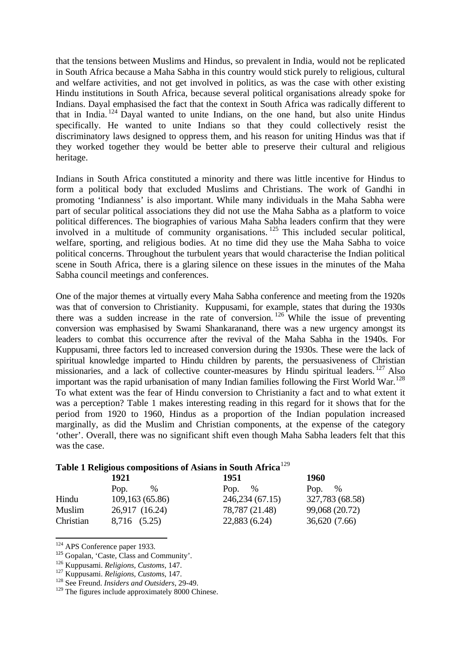that the tensions between Muslims and Hindus, so prevalent in India, would not be replicated in South Africa because a Maha Sabha in this country would stick purely to religious, cultural and welfare activities, and not get involved in politics, as was the case with other existing Hindu institutions in South Africa, because several political organisations already spoke for Indians. Dayal emphasised the fact that the context in South Africa was radically different to that in India.  $124$  Dayal wanted to unite Indians, on the one hand, but also unite Hindus specifically. He wanted to unite Indians so that they could collectively resist the discriminatory laws designed to oppress them, and his reason for uniting Hindus was that if they worked together they would be better able to preserve their cultural and religious heritage.

Indians in South Africa constituted a minority and there was little incentive for Hindus to form a political body that excluded Muslims and Christians. The work of Gandhi in promoting 'Indianness' is also important. While many individuals in the Maha Sabha were part of secular political associations they did not use the Maha Sabha as a platform to voice political differences. The biographies of various Maha Sabha leaders confirm that they were involved in a multitude of community organisations. [125](#page-19-1) This included secular political, welfare, sporting, and religious bodies. At no time did they use the Maha Sabha to voice political concerns. Throughout the turbulent years that would characterise the Indian political scene in South Africa, there is a glaring silence on these issues in the minutes of the Maha Sabha council meetings and conferences.

One of the major themes at virtually every Maha Sabha conference and meeting from the 1920s was that of conversion to Christianity. Kuppusami, for example, states that during the 1930s there was a sudden increase in the rate of conversion.<sup>[126](#page-19-2)</sup> While the issue of preventing conversion was emphasised by Swami Shankaranand, there was a new urgency amongst its leaders to combat this occurrence after the revival of the Maha Sabha in the 1940s. For Kuppusami, three factors led to increased conversion during the 1930s. These were the lack of spiritual knowledge imparted to Hindu children by parents, the persuasiveness of Christian missionaries, and a lack of collective counter-measures by Hindu spiritual leaders. <sup>[127](#page-19-3)</sup> Also important was the rapid urbanisation of many Indian families following the First World War.<sup>[128](#page-19-4)</sup> To what extent was the fear of Hindu conversion to Christianity a fact and to what extent it was a perception? Table 1 makes interesting reading in this regard for it shows that for the period from 1920 to 1960, Hindus as a proportion of the Indian population increased marginally, as did the Muslim and Christian components, at the expense of the category 'other'. Overall, there was no significant shift even though Maha Sabha leaders felt that this was the case.

### **Table 1 Religious compositions of Asians in South Africa**[129](#page-19-5)

|           | 1921           | 1951             | <b>1960</b>     |
|-----------|----------------|------------------|-----------------|
|           | %<br>Pop.      | Pop. $\%$        | Pop. $\%$       |
| Hindu     | 109,163(65.86) | 246, 234 (67.15) | 327,783 (68.58) |
| Muslim    | 26,917 (16.24) | 78,787 (21.48)   | 99,068 (20.72)  |
| Christian | 8,716 (5.25)   | 22,883 (6.24)    | 36,620 (7.66)   |

<sup>&</sup>lt;sup>124</sup> APS Conference paper 1933.

<span id="page-19-2"></span><span id="page-19-1"></span><span id="page-19-0"></span><sup>&</sup>lt;sup>125</sup> Gopalan, 'Caste, Class and Community'.<br><sup>126</sup> Kuppusami. *Religions*, *Customs*, 147.

<span id="page-19-3"></span><sup>&</sup>lt;sup>127</sup> Kuppusami. *Religions, Customs*, 147.<br><sup>128</sup> See Freund. *Insiders and Outsiders*, 29-49.

<span id="page-19-5"></span><span id="page-19-4"></span><sup>&</sup>lt;sup>129</sup> The figures include approximately 8000 Chinese.